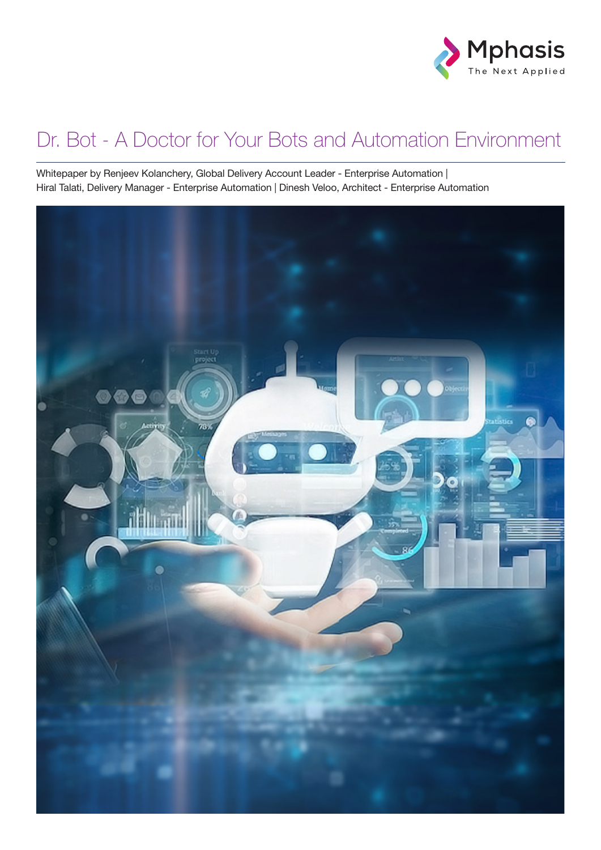

#### Dr. Bot - A Doctor for Your Bots and Automation Environment

Whitepaper by Renjeev Kolanchery, Global Delivery Account Leader - Enterprise Automation | Hiral Talati, Delivery Manager - Enterprise Automation | Dinesh Veloo, Architect - Enterprise Automation

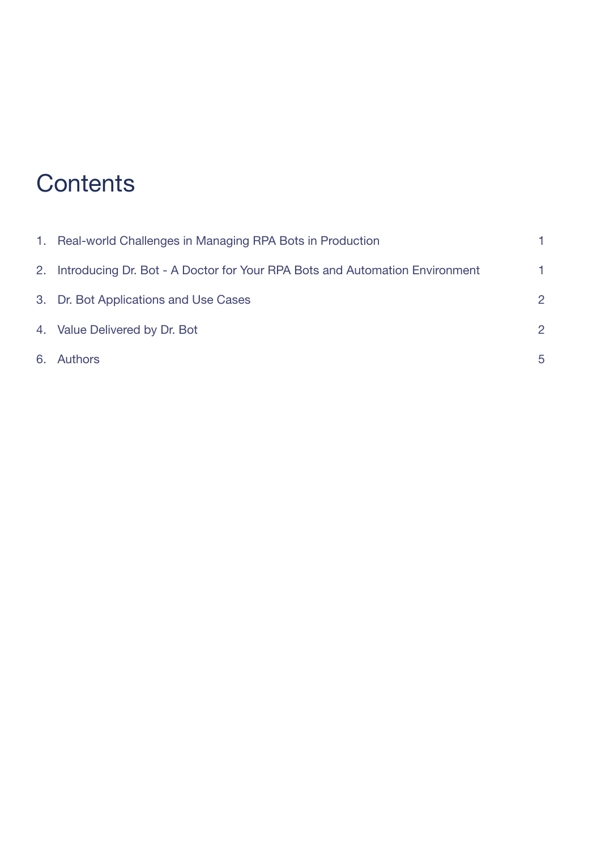### **Contents**

| 1. Real-world Challenges in Managing RPA Bots in Production                    |                |
|--------------------------------------------------------------------------------|----------------|
| 2. Introducing Dr. Bot - A Doctor for Your RPA Bots and Automation Environment | 1              |
| 3. Dr. Bot Applications and Use Cases                                          | $\overline{2}$ |
| 4. Value Delivered by Dr. Bot                                                  | $\overline{2}$ |
| 6. Authors                                                                     | 5              |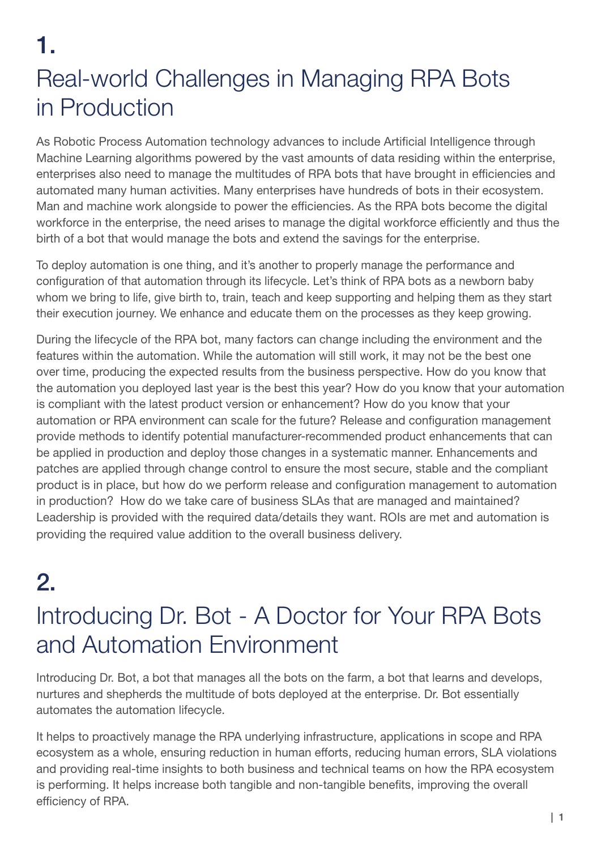1.

# Real-world Challenges in Managing RPA Bots in Production

As Robotic Process Automation technology advances to include Artificial Intelligence through Machine Learning algorithms powered by the vast amounts of data residing within the enterprise, enterprises also need to manage the multitudes of RPA bots that have brought in efficiencies and automated many human activities. Many enterprises have hundreds of bots in their ecosystem. Man and machine work alongside to power the efficiencies. As the RPA bots become the digital workforce in the enterprise, the need arises to manage the digital workforce efficiently and thus the birth of a bot that would manage the bots and extend the savings for the enterprise.

To deploy automation is one thing, and it's another to properly manage the performance and configuration of that automation through its lifecycle. Let's think of RPA bots as a newborn baby whom we bring to life, give birth to, train, teach and keep supporting and helping them as they start their execution journey. We enhance and educate them on the processes as they keep growing.

During the lifecycle of the RPA bot, many factors can change including the environment and the features within the automation. While the automation will still work, it may not be the best one over time, producing the expected results from the business perspective. How do you know that the automation you deployed last year is the best this year? How do you know that your automation is compliant with the latest product version or enhancement? How do you know that your automation or RPA environment can scale for the future? Release and configuration management provide methods to identify potential manufacturer-recommended product enhancements that can be applied in production and deploy those changes in a systematic manner. Enhancements and patches are applied through change control to ensure the most secure, stable and the compliant product is in place, but how do we perform release and configuration management to automation in production? How do we take care of business SLAs that are managed and maintained? Leadership is provided with the required data/details they want. ROIs are met and automation is providing the required value addition to the overall business delivery.

# $2<sub>-</sub>$

## Introducing Dr. Bot - A Doctor for Your RPA Bots and Automation Environment

Introducing Dr. Bot, a bot that manages all the bots on the farm, a bot that learns and develops, nurtures and shepherds the multitude of bots deployed at the enterprise. Dr. Bot essentially automates the automation lifecycle.

It helps to proactively manage the RPA underlying infrastructure, applications in scope and RPA ecosystem as a whole, ensuring reduction in human efforts, reducing human errors, SLA violations and providing real-time insights to both business and technical teams on how the RPA ecosystem is performing. It helps increase both tangible and non-tangible benefits, improving the overall efficiency of RPA.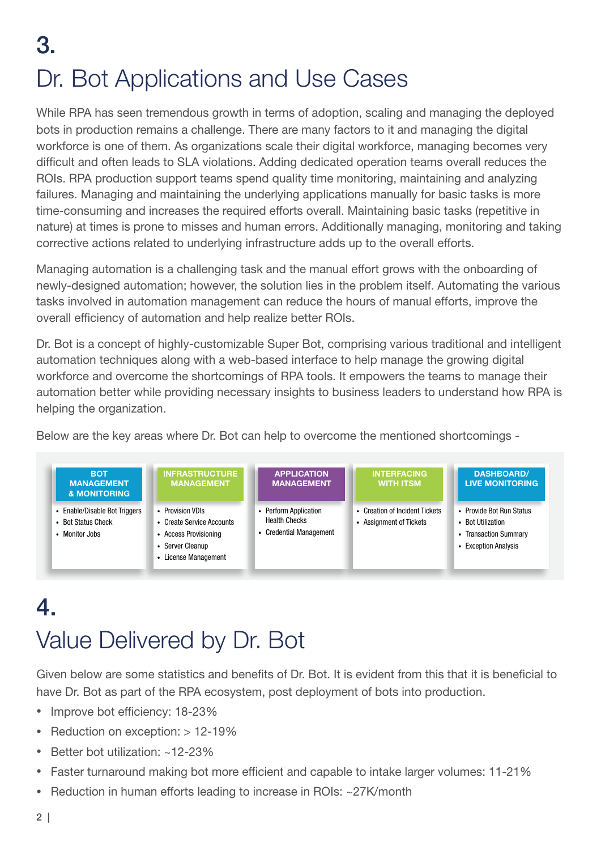# 3. Dr. Bot Applications and Use Cases

While RPA has seen tremendous growth in terms of adoption, scaling and managing the deployed bots in production remains a challenge. There are many factors to it and managing the digital workforce is one of them. As organizations scale their digital workforce, managing becomes very difficult and often leads to SLA violations. Adding dedicated operation teams overall reduces the ROIs. RPA production support teams spend quality time monitoring, maintaining and analyzing failures. Managing and maintaining the underlying applications manually for basic tasks is more time-consuming and increases the required efforts overall. Maintaining basic tasks (repetitive in nature) at times is prone to misses and human errors. Additionally managing, monitoring and taking corrective actions related to underlying infrastructure adds up to the overall efforts.

Managing automation is a challenging task and the manual effort grows with the onboarding of newly-designed automation; however, the solution lies in the problem itself. Automating the various tasks involved in automation management can reduce the hours of manual efforts, improve the overall efficiency of automation and help realize better ROIs.

Dr. Bot is a concept of highly-customizable Super Bot, comprising various traditional and intelligent automation techniques along with a web-based interface to help manage the growing digital workforce and overcome the shortcomings of RPA tools. It empowers the teams to manage their automation better while providing necessary insights to business leaders to understand how RPA is helping the organization.

Below are the key areas where Dr. Bot can help to overcome the mentioned shortcomings -



## 4. Value Delivered by Dr. Bot

Given below are some statistics and benefits of Dr. Bot. It is evident from this that it is beneficial to have Dr. Bot as part of the RPA ecosystem, post deployment of bots into production.

- Improve bot efficiency: 18-23%
- Reduction on exception: > 12-19%
- Better bot utilization: ~12-23%
- Faster turnaround making bot more efficient and capable to intake larger volumes: 11-21%
- Reduction in human efforts leading to increase in ROIs: ~27K/month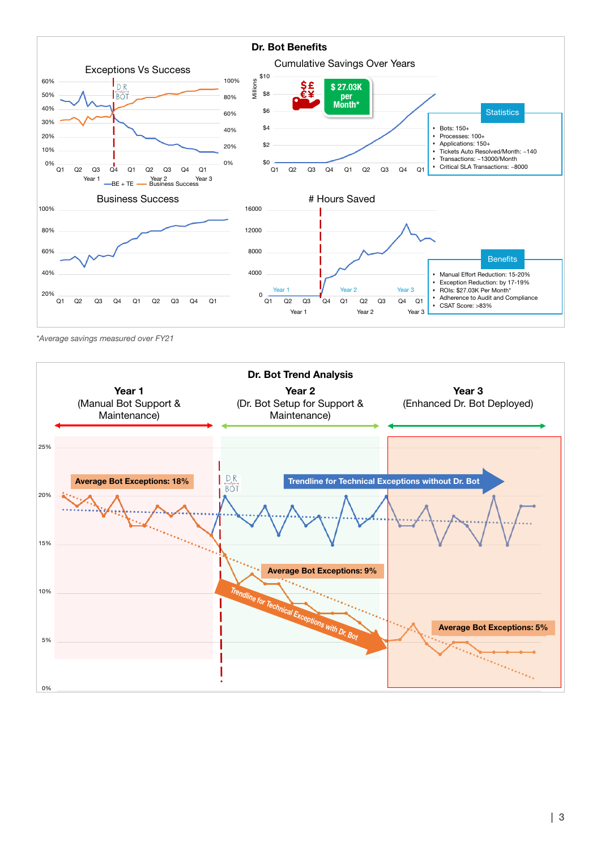

*\*Average savings measured over FY21*

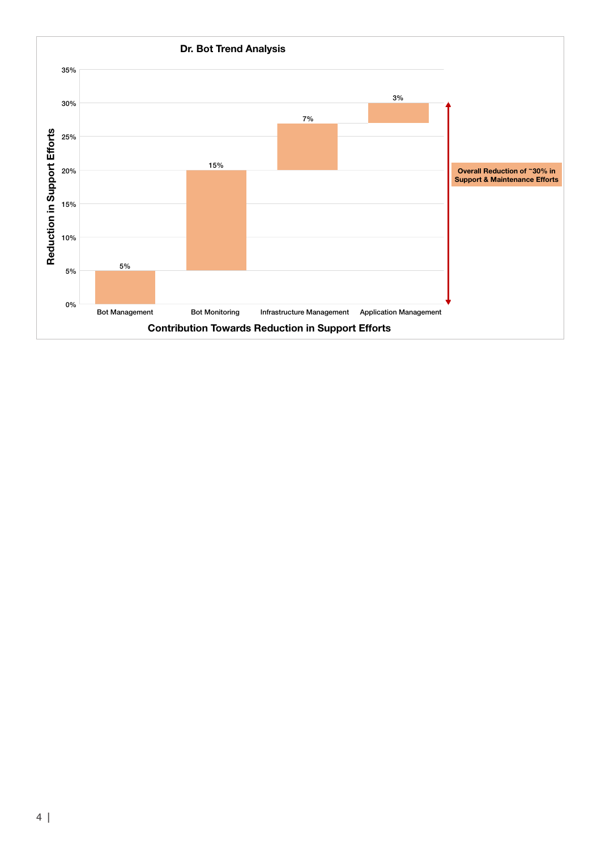